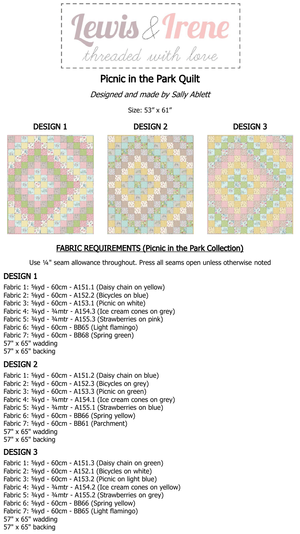

Picnic in the Park Quilt

Designed and made by Sally Ablett

Size: 53" x 61"











# FABRIC REQUIREMENTS (Picnic in the Park Collection)

Use ¼" seam allowance throughout. Press all seams open unless otherwise noted

## DESIGN 1

Fabric 1: ⅝yd - 60cm - A151.1 (Daisy chain on yellow) Fabric 2: ⅝yd - 60cm - A152.2 (Bicycles on blue) Fabric 3: ⅝yd - 60cm - A153.1 (Picnic on white) Fabric 4: ¾yd - ¾mtr - A154.3 (Ice cream cones on grey) Fabric 5: ¾yd - ¾mtr - A155.3 (Strawberries on pink) Fabric 6: ⅝yd - 60cm - BB65 (Light flamingo) Fabric 7: ⅝yd - 60cm - BB68 (Spring green) 57" x 65" wadding 57" x 65" backing

## DESIGN 2

Fabric 1: ⅝yd - 60cm - A151.2 (Daisy chain on blue) Fabric 2: ⅝yd - 60cm - A152.3 (Bicycles on grey) Fabric 3: ⅝yd - 60cm - A153.3 (Picnic on green) Fabric 4: ¾yd - ¾mtr - A154.1 (Ice cream cones on grey) Fabric 5: ¾yd - ¾mtr - A155.1 (Strawberries on blue) Fabric 6: ⅝yd - 60cm - BB66 (Spring yellow) Fabric 7: ⅝yd - 60cm - BB61 (Parchment) 57" x 65" wadding 57" x 65" backing

## DESIGN 3

Fabric 1: ⅝yd - 60cm - A151.3 (Daisy chain on green) Fabric 2: ⅝yd - 60cm - A152.1 (Bicycles on white) Fabric 3: ⅝yd - 60cm - A153.2 (Picnic on light blue) Fabric 4: ¾yd - ¾mtr - A154.2 (Ice cream cones on yellow) Fabric 5: ¾yd - ¾mtr - A155.2 (Strawberries on grey) Fabric 6: ⅝yd - 60cm - BB66 (Spring yellow) Fabric 7: ⅝yd - 60cm - BB65 (Light flamingo) 57" x 65" wadding 57" x 65" backing